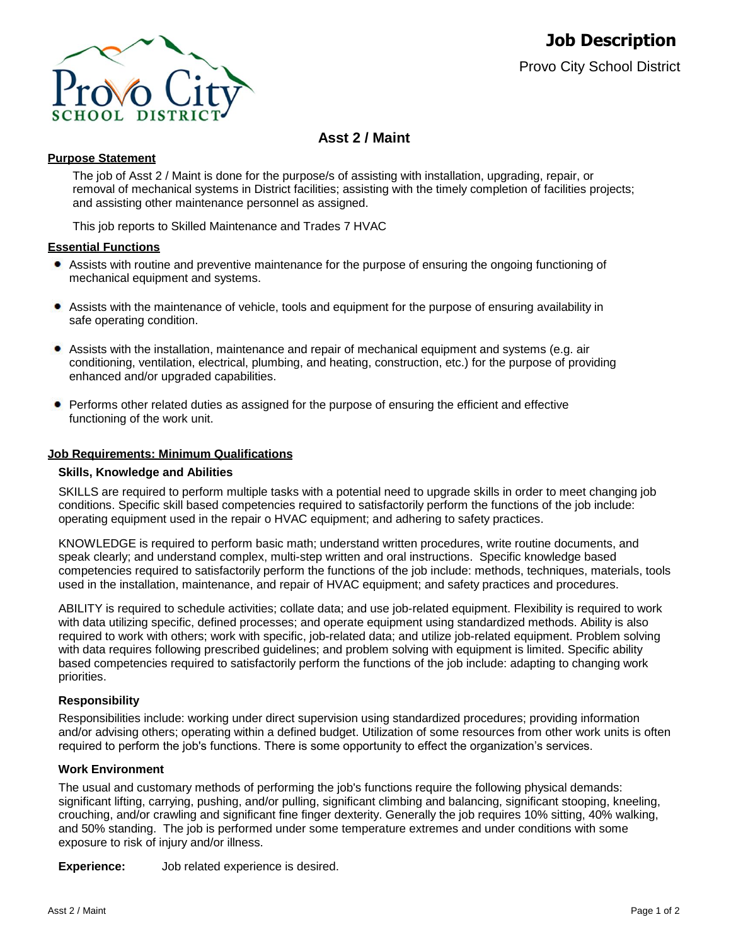

# **Asst 2 / Maint**

### **Purpose Statement**

The job of Asst 2 / Maint is done for the purpose/s of assisting with installation, upgrading, repair, or removal of mechanical systems in District facilities; assisting with the timely completion of facilities projects; and assisting other maintenance personnel as assigned.

This job reports to Skilled Maintenance and Trades 7 HVAC

### **Essential Functions**

- Assists with routine and preventive maintenance for the purpose of ensuring the ongoing functioning of mechanical equipment and systems.
- $\bullet$ Assists with the maintenance of vehicle, tools and equipment for the purpose of ensuring availability in safe operating condition.
- ٠ Assists with the installation, maintenance and repair of mechanical equipment and systems (e.g. air conditioning, ventilation, electrical, plumbing, and heating, construction, etc.) for the purpose of providing enhanced and/or upgraded capabilities.
- Performs other related duties as assigned for the purpose of ensuring the efficient and effective functioning of the work unit.

#### **Job Requirements: Minimum Qualifications**

#### **Skills, Knowledge and Abilities**

SKILLS are required to perform multiple tasks with a potential need to upgrade skills in order to meet changing job conditions. Specific skill based competencies required to satisfactorily perform the functions of the job include: operating equipment used in the repair o HVAC equipment; and adhering to safety practices.

KNOWLEDGE is required to perform basic math; understand written procedures, write routine documents, and speak clearly; and understand complex, multi-step written and oral instructions. Specific knowledge based competencies required to satisfactorily perform the functions of the job include: methods, techniques, materials, tools used in the installation, maintenance, and repair of HVAC equipment; and safety practices and procedures.

ABILITY is required to schedule activities; collate data; and use job-related equipment. Flexibility is required to work with data utilizing specific, defined processes; and operate equipment using standardized methods. Ability is also required to work with others; work with specific, job-related data; and utilize job-related equipment. Problem solving with data requires following prescribed guidelines; and problem solving with equipment is limited. Specific ability based competencies required to satisfactorily perform the functions of the job include: adapting to changing work priorities.

#### **Responsibility**

Responsibilities include: working under direct supervision using standardized procedures; providing information and/or advising others; operating within a defined budget. Utilization of some resources from other work units is often required to perform the job's functions. There is some opportunity to effect the organization's services.

#### **Work Environment**

The usual and customary methods of performing the job's functions require the following physical demands: significant lifting, carrying, pushing, and/or pulling, significant climbing and balancing, significant stooping, kneeling, crouching, and/or crawling and significant fine finger dexterity. Generally the job requires 10% sitting, 40% walking, and 50% standing. The job is performed under some temperature extremes and under conditions with some exposure to risk of injury and/or illness.

**Experience:** Job related experience is desired.